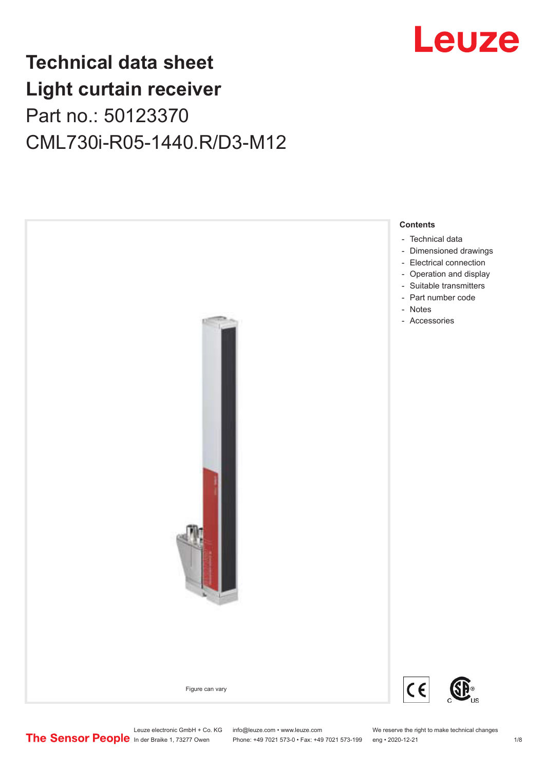

# **Technical data sheet Light curtain receiver** Part no.: 50123370 CML730i-R05-1440.R/D3-M12



Leuze electronic GmbH + Co. KG info@leuze.com • www.leuze.com We reserve the right to make technical changes<br>
The Sensor People in der Braike 1, 73277 Owen Phone: +49 7021 573-0 • Fax: +49 7021 573-199 eng • 2020-12-21

Phone: +49 7021 573-0 • Fax: +49 7021 573-199 eng • 2020-12-21 1 2020-12-21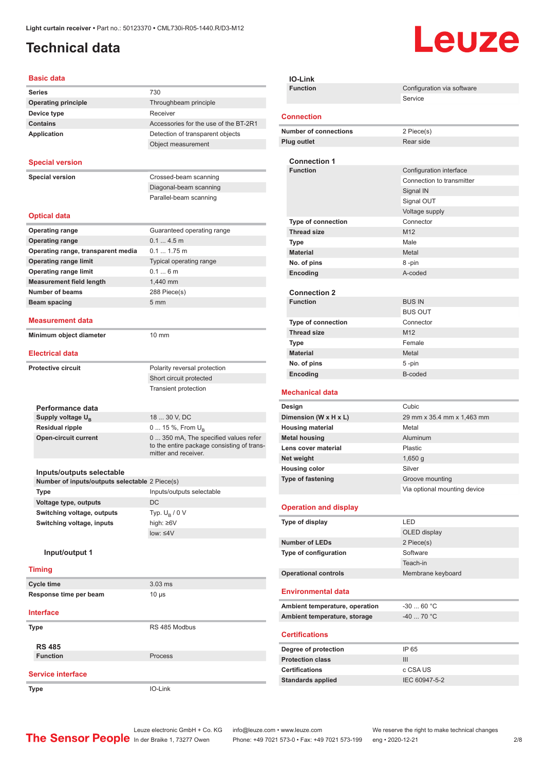## <span id="page-1-0"></span>**Technical data**

# Leuze

#### **Basic data**

| Daəit uata                                                                  |                                                                                                             |
|-----------------------------------------------------------------------------|-------------------------------------------------------------------------------------------------------------|
| <b>Series</b>                                                               | 730                                                                                                         |
| <b>Operating principle</b>                                                  | Throughbeam principle                                                                                       |
| Device type                                                                 | Receiver                                                                                                    |
| <b>Contains</b>                                                             | Accessories for the use of the BT-2R1                                                                       |
| Application                                                                 | Detection of transparent objects                                                                            |
|                                                                             | Object measurement                                                                                          |
| <b>Special version</b>                                                      |                                                                                                             |
| <b>Special version</b>                                                      | Crossed-beam scanning                                                                                       |
|                                                                             | Diagonal-beam scanning                                                                                      |
|                                                                             | Parallel-beam scanning                                                                                      |
|                                                                             |                                                                                                             |
| <b>Optical data</b>                                                         |                                                                                                             |
| <b>Operating range</b>                                                      | Guaranteed operating range                                                                                  |
| <b>Operating range</b>                                                      | 0.14.5m                                                                                                     |
| Operating range, transparent media                                          | $0.1 1.75$ m                                                                                                |
| <b>Operating range limit</b>                                                | Typical operating range                                                                                     |
| <b>Operating range limit</b>                                                | 0.16m                                                                                                       |
| <b>Measurement field length</b>                                             | 1,440 mm                                                                                                    |
| <b>Number of beams</b>                                                      | 288 Piece(s)<br>5 <sub>mm</sub>                                                                             |
| <b>Beam spacing</b>                                                         |                                                                                                             |
| <b>Measurement data</b>                                                     |                                                                                                             |
| Minimum object diameter                                                     | 10 mm                                                                                                       |
| <b>Electrical data</b>                                                      |                                                                                                             |
| <b>Protective circuit</b>                                                   | Polarity reversal protection                                                                                |
|                                                                             | Short circuit protected                                                                                     |
|                                                                             | Transient protection                                                                                        |
|                                                                             |                                                                                                             |
| Performance data                                                            |                                                                                                             |
| Supply voltage $U_{B}$                                                      | 18  30 V, DC                                                                                                |
| <b>Residual ripple</b>                                                      | 0  15 %, From $U_{\rm B}$                                                                                   |
| <b>Open-circuit current</b>                                                 | 0  350 mA, The specified values refer<br>to the entire package consisting of trans-<br>mitter and receiver. |
|                                                                             |                                                                                                             |
| Inputs/outputs selectable<br>Number of inputs/outputs selectable 2 Piece(s) |                                                                                                             |
|                                                                             | Inputs/outputs selectable                                                                                   |
| Type<br>Voltage type, outputs                                               | DC                                                                                                          |
| Switching voltage, outputs                                                  | Typ. $U_B / 0 V$                                                                                            |
| Switching voltage, inputs                                                   | high: ≥6V                                                                                                   |
|                                                                             | low: < 4V                                                                                                   |
| Input/output 1                                                              |                                                                                                             |
| <b>Timing</b>                                                               |                                                                                                             |
|                                                                             |                                                                                                             |
| <b>Cycle time</b>                                                           | $3.03$ ms                                                                                                   |
| Response time per beam                                                      | $10 \mu s$                                                                                                  |
| <b>Interface</b>                                                            |                                                                                                             |
| <b>Type</b>                                                                 | RS 485 Modbus                                                                                               |
| <b>RS 485</b>                                                               |                                                                                                             |
| <b>Function</b>                                                             | Process                                                                                                     |
| <b>Service interface</b>                                                    |                                                                                                             |
|                                                                             |                                                                                                             |
| Type                                                                        | IO-Link                                                                                                     |

| <b>Function</b><br>Configuration via software<br>Service<br><b>Connection</b><br><b>Number of connections</b><br>2 Piece(s)<br><b>Plug outlet</b><br>Rear side<br><b>Connection 1</b><br><b>Function</b><br>Configuration interface<br>Connection to transmitter<br>Signal IN<br>Signal OUT<br>Voltage supply<br>Type of connection<br>Connector |  |
|--------------------------------------------------------------------------------------------------------------------------------------------------------------------------------------------------------------------------------------------------------------------------------------------------------------------------------------------------|--|
|                                                                                                                                                                                                                                                                                                                                                  |  |
|                                                                                                                                                                                                                                                                                                                                                  |  |
|                                                                                                                                                                                                                                                                                                                                                  |  |
|                                                                                                                                                                                                                                                                                                                                                  |  |
|                                                                                                                                                                                                                                                                                                                                                  |  |
|                                                                                                                                                                                                                                                                                                                                                  |  |
|                                                                                                                                                                                                                                                                                                                                                  |  |
|                                                                                                                                                                                                                                                                                                                                                  |  |
|                                                                                                                                                                                                                                                                                                                                                  |  |
|                                                                                                                                                                                                                                                                                                                                                  |  |
|                                                                                                                                                                                                                                                                                                                                                  |  |
|                                                                                                                                                                                                                                                                                                                                                  |  |
| M12<br><b>Thread size</b>                                                                                                                                                                                                                                                                                                                        |  |
| Male<br>Type                                                                                                                                                                                                                                                                                                                                     |  |
| <b>Material</b><br>Metal                                                                                                                                                                                                                                                                                                                         |  |
| No. of pins<br>8-pin                                                                                                                                                                                                                                                                                                                             |  |
| Encoding<br>A-coded                                                                                                                                                                                                                                                                                                                              |  |
|                                                                                                                                                                                                                                                                                                                                                  |  |
| <b>Connection 2</b><br><b>Function</b><br><b>BUS IN</b>                                                                                                                                                                                                                                                                                          |  |
| <b>BUS OUT</b>                                                                                                                                                                                                                                                                                                                                   |  |
| <b>Type of connection</b><br>Connector                                                                                                                                                                                                                                                                                                           |  |
| <b>Thread size</b><br>M <sub>12</sub>                                                                                                                                                                                                                                                                                                            |  |
| Female<br>Type                                                                                                                                                                                                                                                                                                                                   |  |
| <b>Material</b><br>Metal                                                                                                                                                                                                                                                                                                                         |  |
| No. of pins<br>5-pin                                                                                                                                                                                                                                                                                                                             |  |
| Encoding<br>B-coded                                                                                                                                                                                                                                                                                                                              |  |
| <b>Mechanical data</b>                                                                                                                                                                                                                                                                                                                           |  |
| Cubic<br>Design                                                                                                                                                                                                                                                                                                                                  |  |
|                                                                                                                                                                                                                                                                                                                                                  |  |
|                                                                                                                                                                                                                                                                                                                                                  |  |
| Dimension (W x H x L)<br>29 mm x 35.4 mm x 1,463 mm<br><b>Housing material</b><br>Metal                                                                                                                                                                                                                                                          |  |
| <b>Metal housing</b><br>Aluminum                                                                                                                                                                                                                                                                                                                 |  |
| Lens cover material<br>Plastic                                                                                                                                                                                                                                                                                                                   |  |
| Net weight<br>$1,650$ g                                                                                                                                                                                                                                                                                                                          |  |
| <b>Housing color</b><br>Silver                                                                                                                                                                                                                                                                                                                   |  |
| Groove mounting                                                                                                                                                                                                                                                                                                                                  |  |
| Via optional mounting device                                                                                                                                                                                                                                                                                                                     |  |
| <b>Operation and display</b>                                                                                                                                                                                                                                                                                                                     |  |
| LED<br>Type of display                                                                                                                                                                                                                                                                                                                           |  |
| Type of fastening<br>OLED display                                                                                                                                                                                                                                                                                                                |  |
| <b>Number of LEDs</b><br>2 Piece(s)                                                                                                                                                                                                                                                                                                              |  |
| Type of configuration<br>Software                                                                                                                                                                                                                                                                                                                |  |
| Teach-in                                                                                                                                                                                                                                                                                                                                         |  |
| <b>Operational controls</b><br>Membrane keyboard                                                                                                                                                                                                                                                                                                 |  |
| <b>Environmental data</b>                                                                                                                                                                                                                                                                                                                        |  |
| $-3060 °C$<br>Ambient temperature, operation                                                                                                                                                                                                                                                                                                     |  |
| -40  70 °C<br>Ambient temperature, storage                                                                                                                                                                                                                                                                                                       |  |
|                                                                                                                                                                                                                                                                                                                                                  |  |
| <b>Certifications</b>                                                                                                                                                                                                                                                                                                                            |  |
| Degree of protection<br>IP 65                                                                                                                                                                                                                                                                                                                    |  |
| <b>Protection class</b><br>III                                                                                                                                                                                                                                                                                                                   |  |
| <b>Certifications</b><br>c CSA US<br>IEC 60947-5-2<br><b>Standards applied</b>                                                                                                                                                                                                                                                                   |  |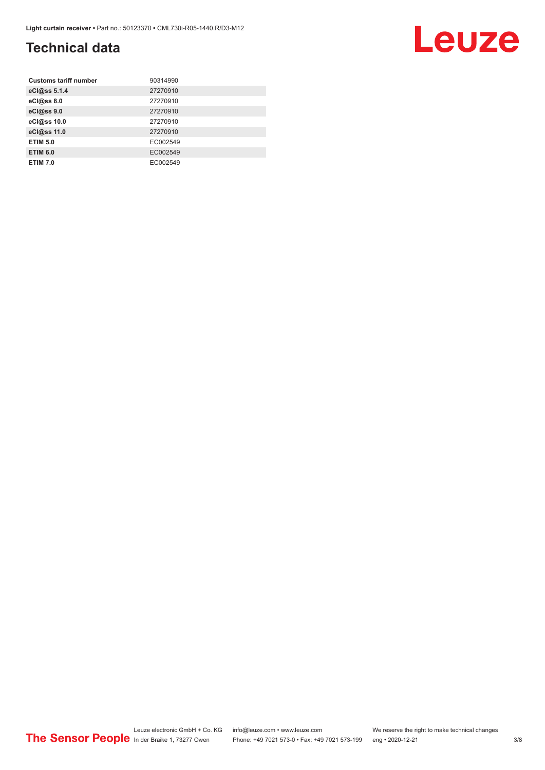### **Technical data**

| <b>Customs tariff number</b> | 90314990 |
|------------------------------|----------|
| eCl@ss 5.1.4                 | 27270910 |
| eCl@ss 8.0                   | 27270910 |
| eCl@ss 9.0                   | 27270910 |
| eCl@ss 10.0                  | 27270910 |
| eCl@ss 11.0                  | 27270910 |
| <b>ETIM 5.0</b>              | EC002549 |
| <b>ETIM 6.0</b>              | EC002549 |
| <b>ETIM 7.0</b>              | EC002549 |

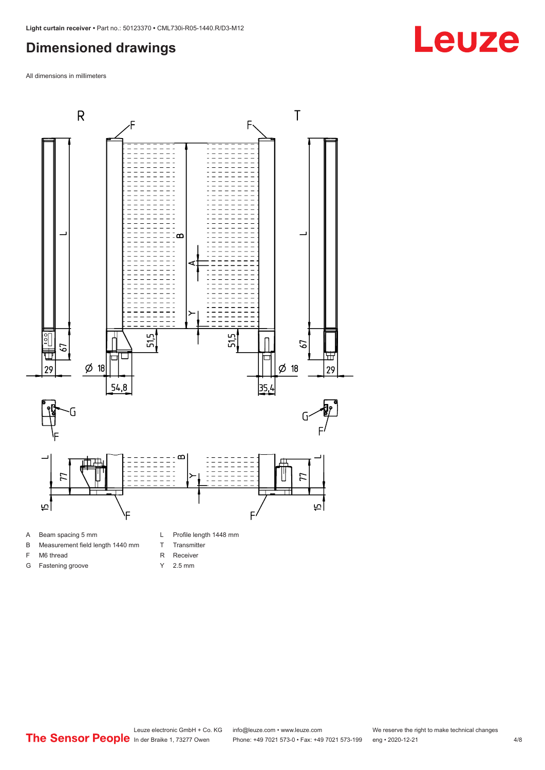#### <span id="page-3-0"></span>**Dimensioned drawings**

All dimensions in millimeters



A Beam spacing 5 mm

G Fastening groove

- B Measurement field length 1440 mm
- F M6 thread
- R Receiver
	- Y 2.5 mm

T Transmitter

# **Leuze**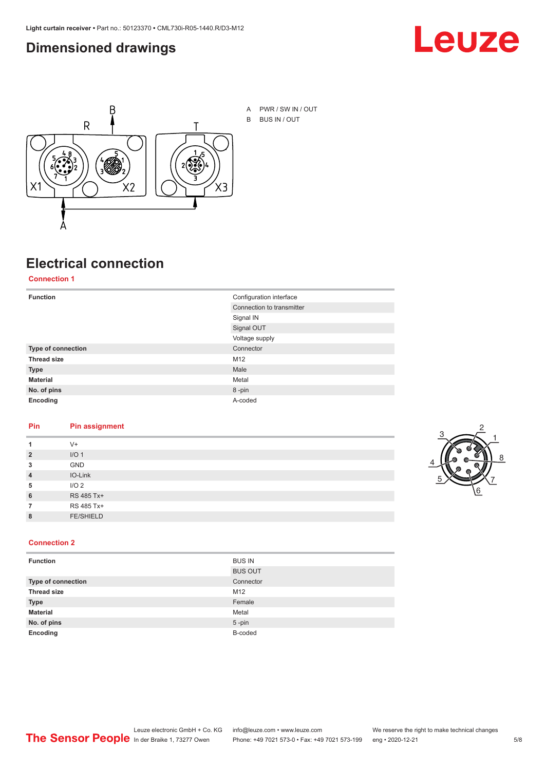#### <span id="page-4-0"></span>**Dimensioned drawings**





A PWR / SW IN / OUT B BUS IN / OUT

### **Electrical connection**

**Connection 1**

| <b>Function</b>    | Configuration interface   |
|--------------------|---------------------------|
|                    | Connection to transmitter |
|                    | Signal IN                 |
|                    | Signal OUT                |
|                    | Voltage supply            |
| Type of connection | Connector                 |
| <b>Thread size</b> | M12                       |
| <b>Type</b>        | Male                      |
| <b>Material</b>    | Metal                     |
| No. of pins        | 8-pin                     |
| Encoding           | A-coded                   |

#### **Pin Pin assignment**

|                | $V +$            |  |  |
|----------------|------------------|--|--|
| $\overline{2}$ | I/O <sub>1</sub> |  |  |
| 3              | <b>GND</b>       |  |  |
| $\overline{4}$ | IO-Link          |  |  |
| 5              | I/O <sub>2</sub> |  |  |
| 6              | RS 485 Tx+       |  |  |
|                | RS 485 Tx+       |  |  |
| 8              | <b>FE/SHIELD</b> |  |  |
|                |                  |  |  |



#### **Connection 2**

| <b>Function</b>    | <b>BUS IN</b>  |
|--------------------|----------------|
|                    | <b>BUS OUT</b> |
| Type of connection | Connector      |
| <b>Thread size</b> | M12            |
| <b>Type</b>        | Female         |
| <b>Material</b>    | Metal          |
| No. of pins        | $5 - pin$      |
| Encoding           | B-coded        |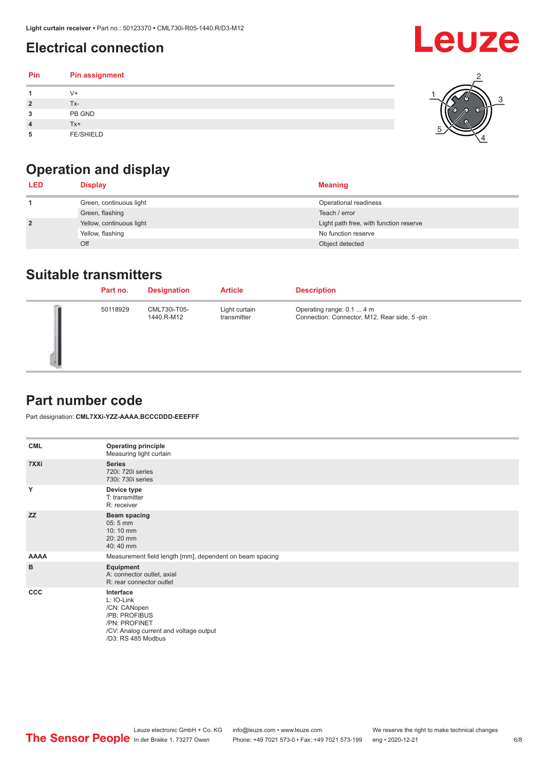### <span id="page-5-0"></span>**Electrical connection**

| Pin | Pin assignment   |  |
|-----|------------------|--|
|     | $V +$            |  |
| 2   | Tx-              |  |
| 3   | PB GND           |  |
|     | Tx+              |  |
| 5   | <b>FE/SHIELD</b> |  |

## **Operation and display**

| <b>LED</b>     | <b>Display</b>           | <b>Meaning</b>                         |
|----------------|--------------------------|----------------------------------------|
|                | Green, continuous light  | Operational readiness                  |
|                | Green, flashing          | Teach / error                          |
| $\overline{2}$ | Yellow, continuous light | Light path free, with function reserve |
|                | Yellow, flashing         | No function reserve                    |
|                | Off                      | Object detected                        |

#### **Suitable transmitters**

| Part no. | <b>Designation</b>         | <b>Article</b>               | <b>Description</b>                                                        |
|----------|----------------------------|------------------------------|---------------------------------------------------------------------------|
| 50118929 | CML730i-T05-<br>1440.R-M12 | Light curtain<br>transmitter | Operating range: 0.1  4 m<br>Connection: Connector, M12, Rear side, 5-pin |

#### **Part number code**

Part designation: **CML7XXi-YZZ-AAAA.BCCCDDD-EEEFFF**

| <b>CML</b>  | <b>Operating principle</b><br>Measuring light curtain                                                                                     |
|-------------|-------------------------------------------------------------------------------------------------------------------------------------------|
| 7XXi        | <b>Series</b><br>720i: 720i series<br>730i: 730i series                                                                                   |
| Y           | Device type<br>T: transmitter<br>R: receiver                                                                                              |
| <b>ZZ</b>   | <b>Beam spacing</b><br>$05:5$ mm<br>10:10 mm<br>20:20 mm<br>40:40 mm                                                                      |
| <b>AAAA</b> | Measurement field length [mm], dependent on beam spacing                                                                                  |
| B           | Equipment<br>A: connector outlet, axial<br>R: rear connector outlet                                                                       |
| CCC         | Interface<br>L: IO-Link<br>/CN: CANopen<br>/PB: PROFIBUS<br>/PN: PROFINET<br>/CV: Analog current and voltage output<br>/D3: RS 485 Modbus |

**Leuze**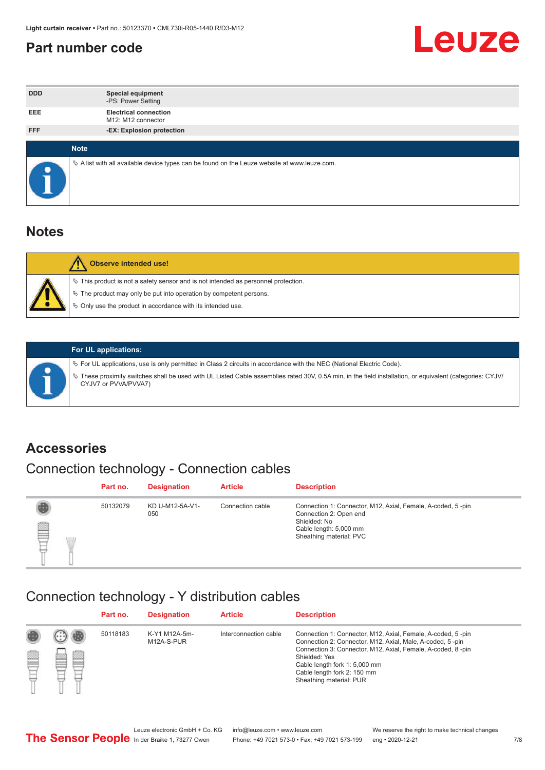#### <span id="page-6-0"></span>**Part number code**



| <b>DDD</b> | <b>Special equipment</b><br>-PS: Power Setting                                                    |
|------------|---------------------------------------------------------------------------------------------------|
| <b>EEE</b> | <b>Electrical connection</b><br>M12: M12 connector                                                |
| <b>FFF</b> | -EX: Explosion protection                                                                         |
|            | <b>Note</b>                                                                                       |
| $\bullet$  | Vector A list with all available device types can be found on the Leuze website at www.leuze.com. |

#### **Notes**

| <b>Observe intended use!</b>                                                                                                                                                                                                  |
|-------------------------------------------------------------------------------------------------------------------------------------------------------------------------------------------------------------------------------|
| $\%$ This product is not a safety sensor and is not intended as personnel protection.<br>$\%$ The product may only be put into operation by competent persons.<br>♦ Only use the product in accordance with its intended use. |



#### **For UL applications:**

ª For UL applications, use is only permitted in Class 2 circuits in accordance with the NEC (National Electric Code). ª These proximity switches shall be used with UL Listed Cable assemblies rated 30V, 0.5A min, in the field installation, or equivalent (categories: CYJV/ CYJV7 or PVVA/PVVA7)

#### **Accessories**

### Connection technology - Connection cables

|        | Part no. | <b>Designation</b>     | <b>Article</b>   | <b>Description</b>                                                                                                                                         |
|--------|----------|------------------------|------------------|------------------------------------------------------------------------------------------------------------------------------------------------------------|
| 2<br>W | 50132079 | KD U-M12-5A-V1-<br>050 | Connection cable | Connection 1: Connector, M12, Axial, Female, A-coded, 5-pin<br>Connection 2: Open end<br>Shielded: No<br>Cable length: 5,000 mm<br>Sheathing material: PVC |

#### Connection technology - Y distribution cables

|   |        | Part no. | <b>Designation</b>          | <b>Article</b>        | <b>Description</b>                                                                                                                                                                                                                                                                                  |
|---|--------|----------|-----------------------------|-----------------------|-----------------------------------------------------------------------------------------------------------------------------------------------------------------------------------------------------------------------------------------------------------------------------------------------------|
| p | ▩<br>m | 50118183 | K-Y1 M12A-5m-<br>M12A-S-PUR | Interconnection cable | Connection 1: Connector, M12, Axial, Female, A-coded, 5-pin<br>Connection 2: Connector, M12, Axial, Male, A-coded, 5-pin<br>Connection 3: Connector, M12, Axial, Female, A-coded, 8-pin<br>Shielded: Yes<br>Cable length fork 1: 5,000 mm<br>Cable length fork 2: 150 mm<br>Sheathing material: PUR |